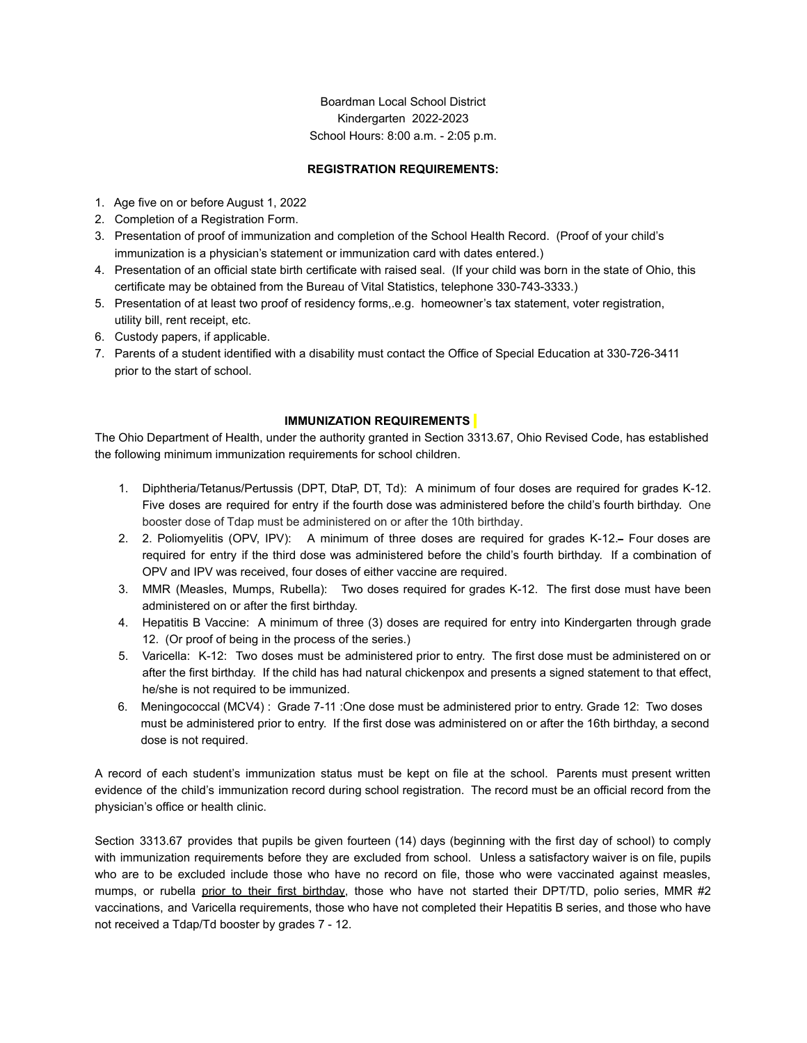Boardman Local School District Kindergarten 2022-2023 School Hours: 8:00 a.m. - 2:05 p.m.

# **REGISTRATION REQUIREMENTS:**

- 1. Age five on or before August 1, 2022
- 2. Completion of a Registration Form.
- 3. Presentation of proof of immunization and completion of the School Health Record. (Proof of your child's immunization is a physician's statement or immunization card with dates entered.)
- 4. Presentation of an official state birth certificate with raised seal. (If your child was born in the state of Ohio, this certificate may be obtained from the Bureau of Vital Statistics, telephone 330-743-3333.)
- 5. Presentation of at least two proof of residency forms,.e.g. homeowner's tax statement, voter registration, utility bill, rent receipt, etc.
- 6. Custody papers, if applicable.
- 7. Parents of a student identified with a disability must contact the Office of Special Education at 330-726-3411 prior to the start of school.

#### **IMMUNIZATION REQUIREMENTS**

The Ohio Department of Health, under the authority granted in Section 3313.67, Ohio Revised Code, has established the following minimum immunization requirements for school children.

- 1. Diphtheria/Tetanus/Pertussis (DPT, DtaP, DT, Td): A minimum of four doses are required for grades K-12. Five doses are required for entry if the fourth dose was administered before the child's fourth birthday. One booster dose of Tdap must be administered on or after the 10th birthday.
- 2. 2. Poliomyelitis (OPV, IPV): A minimum of three doses are required for grades K-12. Four doses are required for entry if the third dose was administered before the child's fourth birthday. If a combination of OPV and IPV was received, four doses of either vaccine are required.
- 3. MMR (Measles, Mumps, Rubella): Two doses required for grades K-12. The first dose must have been administered on or after the first birthday.
- 4. Hepatitis B Vaccine: A minimum of three (3) doses are required for entry into Kindergarten through grade 12. (Or proof of being in the process of the series.)
- 5. Varicella: K-12: Two doses must be administered prior to entry. The first dose must be administered on or after the first birthday. If the child has had natural chickenpox and presents a signed statement to that effect, he/she is not required to be immunized.
- 6. Meningococcal (MCV4) : Grade 7-11 :One dose must be administered prior to entry. Grade 12: Two doses must be administered prior to entry. If the first dose was administered on or after the 16th birthday, a second dose is not required.

A record of each student's immunization status must be kept on file at the school. Parents must present written evidence of the child's immunization record during school registration. The record must be an official record from the physician's office or health clinic.

Section 3313.67 provides that pupils be given fourteen (14) days (beginning with the first day of school) to comply with immunization requirements before they are excluded from school. Unless a satisfactory waiver is on file, pupils who are to be excluded include those who have no record on file, those who were vaccinated against measles, mumps, or rubella prior to their first birthday, those who have not started their DPT/TD, polio series, MMR #2 vaccinations, and Varicella requirements, those who have not completed their Hepatitis B series, and those who have not received a Tdap/Td booster by grades 7 - 12.